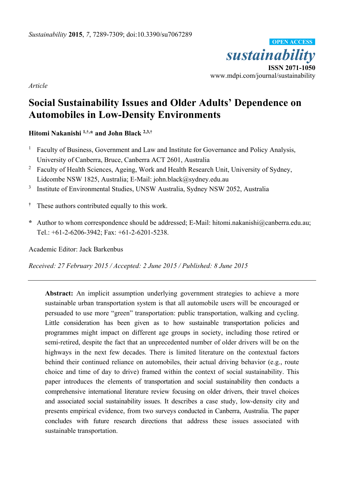

*Article* 

# **Social Sustainability Issues and Older Adults' Dependence on Automobiles in Low-Density Environments**

**Hitomi Nakanishi 1,†,\* and John Black 2,3,†**

- 1 Faculty of Business, Government and Law and Institute for Governance and Policy Analysis, University of Canberra, Bruce, Canberra ACT 2601, Australia
- <sup>2</sup> Faculty of Health Sciences, Ageing, Work and Health Research Unit, University of Sydney, Lidcombe NSW 1825, Australia; E-Mail: john.black@sydney.edu.au
- <sup>3</sup> Institute of Environmental Studies, UNSW Australia, Sydney NSW 2052, Australia
- **†** These authors contributed equally to this work.
- **\*** Author to whom correspondence should be addressed; E-Mail: hitomi.nakanishi@canberra.edu.au; Tel.: +61-2-6206-3942; Fax: +61-2-6201-5238.

Academic Editor: Jack Barkenbus

*Received: 27 February 2015 / Accepted: 2 June 2015 / Published: 8 June 2015* 

**Abstract:** An implicit assumption underlying government strategies to achieve a more sustainable urban transportation system is that all automobile users will be encouraged or persuaded to use more "green" transportation: public transportation, walking and cycling. Little consideration has been given as to how sustainable transportation policies and programmes might impact on different age groups in society, including those retired or semi-retired, despite the fact that an unprecedented number of older drivers will be on the highways in the next few decades. There is limited literature on the contextual factors behind their continued reliance on automobiles, their actual driving behavior (e.g., route choice and time of day to drive) framed within the context of social sustainability. This paper introduces the elements of transportation and social sustainability then conducts a comprehensive international literature review focusing on older drivers, their travel choices and associated social sustainability issues. It describes a case study, low-density city and presents empirical evidence, from two surveys conducted in Canberra, Australia. The paper concludes with future research directions that address these issues associated with sustainable transportation.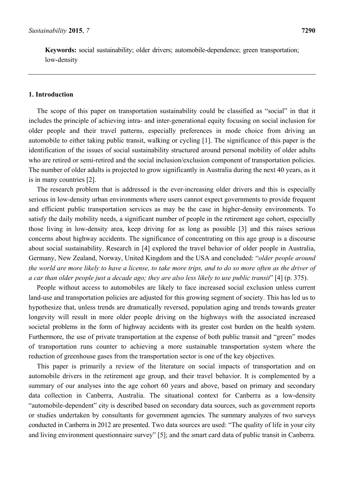**Keywords:** social sustainability; older drivers; automobile-dependence; green transportation; low-density

#### **1. Introduction**

The scope of this paper on transportation sustainability could be classified as "social" in that it includes the principle of achieving intra- and inter-generational equity focusing on social inclusion for older people and their travel patterns, especially preferences in mode choice from driving an automobile to either taking public transit, walking or cycling [1]. The significance of this paper is the identification of the issues of social sustainability structured around personal mobility of older adults who are retired or semi-retired and the social inclusion/exclusion component of transportation policies. The number of older adults is projected to grow significantly in Australia during the next 40 years, as it is in many countries [2].

The research problem that is addressed is the ever-increasing older drivers and this is especially serious in low-density urban environments where users cannot expect governments to provide frequent and efficient public transportation services as may be the case in higher-density environments. To satisfy the daily mobility needs, a significant number of people in the retirement age cohort, especially those living in low-density area, keep driving for as long as possible [3] and this raises serious concerns about highway accidents. The significance of concentrating on this age group is a discourse about social sustainability. Research in [4] explored the travel behavior of older people in Australia, Germany, New Zealand, Norway, United Kingdom and the USA and concluded: "*older people around the world are more likely to have a license, to take more trips, and to do so more often as the driver of a car than older people just a decade ago; they are also less likely to use public transit*" [4] (p. 375).

People without access to automobiles are likely to face increased social exclusion unless current land-use and transportation policies are adjusted for this growing segment of society. This has led us to hypothesize that, unless trends are dramatically reversed, population aging and trends towards greater longevity will result in more older people driving on the highways with the associated increased societal problems in the form of highway accidents with its greater cost burden on the health system. Furthermore, the use of private transportation at the expense of both public transit and "green" modes of transportation runs counter to achieving a more sustainable transportation system where the reduction of greenhouse gases from the transportation sector is one of the key objectives.

This paper is primarily a review of the literature on social impacts of transportation and on automobile drivers in the retirement age group, and their travel behavior. It is complemented by a summary of our analyses into the age cohort 60 years and above, based on primary and secondary data collection in Canberra, Australia. The situational context for Canberra as a low-density "automobile-dependent" city is described based on secondary data sources, such as government reports or studies undertaken by consultants for government agencies. The summary analyzes of two surveys conducted in Canberra in 2012 are presented. Two data sources are used: "The quality of life in your city and living environment questionnaire survey" [5]; and the smart card data of public transit in Canberra.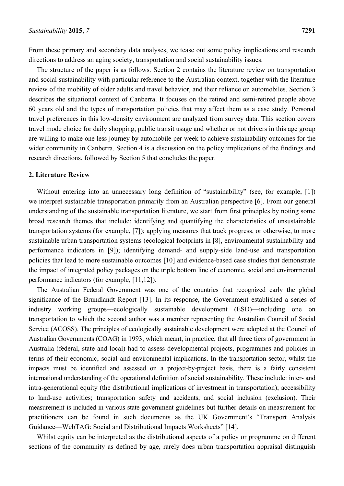From these primary and secondary data analyses, we tease out some policy implications and research directions to address an aging society, transportation and social sustainability issues.

The structure of the paper is as follows. Section 2 contains the literature review on transportation and social sustainability with particular reference to the Australian context, together with the literature review of the mobility of older adults and travel behavior, and their reliance on automobiles. Section 3 describes the situational context of Canberra. It focuses on the retired and semi-retired people above 60 years old and the types of transportation policies that may affect them as a case study. Personal travel preferences in this low-density environment are analyzed from survey data. This section covers travel mode choice for daily shopping, public transit usage and whether or not drivers in this age group are willing to make one less journey by automobile per week to achieve sustainability outcomes for the wider community in Canberra. Section 4 is a discussion on the policy implications of the findings and research directions, followed by Section 5 that concludes the paper.

## **2. Literature Review**

Without entering into an unnecessary long definition of "sustainability" (see, for example, [1]) we interpret sustainable transportation primarily from an Australian perspective [6]. From our general understanding of the sustainable transportation literature, we start from first principles by noting some broad research themes that include: identifying and quantifying the characteristics of unsustainable transportation systems (for example, [7]); applying measures that track progress, or otherwise, to more sustainable urban transportation systems (ecological footprints in [8], environmental sustainability and performance indicators in [9]); identifying demand- and supply-side land-use and transportation policies that lead to more sustainable outcomes [10] and evidence-based case studies that demonstrate the impact of integrated policy packages on the triple bottom line of economic, social and environmental performance indicators (for example, [11,12]).

The Australian Federal Government was one of the countries that recognized early the global significance of the Brundlandt Report [13]. In its response, the Government established a series of industry working groups—ecologically sustainable development (ESD)—including one on transportation to which the second author was a member representing the Australian Council of Social Service (ACOSS). The principles of ecologically sustainable development were adopted at the Council of Australian Governments (COAG) in 1993, which meant, in practice, that all three tiers of government in Australia (federal, state and local) had to assess developmental projects, programmes and policies in terms of their economic, social and environmental implications. In the transportation sector, whilst the impacts must be identified and assessed on a project-by-project basis, there is a fairly consistent international understanding of the operational definition of social sustainability. These include: inter- and intra-generational equity (the distributional implications of investment in transportation); accessibility to land-use activities; transportation safety and accidents; and social inclusion (exclusion). Their measurement is included in various state government guidelines but further details on measurement for practitioners can be found in such documents as the UK Government's "Transport Analysis Guidance—WebTAG: Social and Distributional Impacts Worksheets" [14].

Whilst equity can be interpreted as the distributional aspects of a policy or programme on different sections of the community as defined by age, rarely does urban transportation appraisal distinguish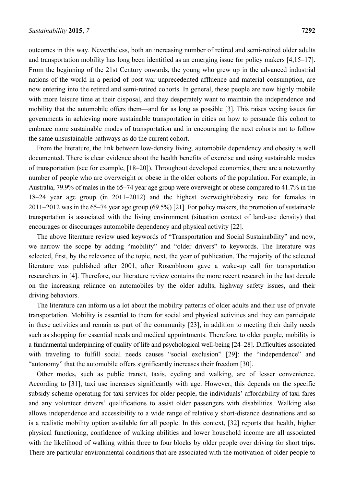outcomes in this way. Nevertheless, both an increasing number of retired and semi-retired older adults and transportation mobility has long been identified as an emerging issue for policy makers [4,15–17]. From the beginning of the 21st Century onwards, the young who grew up in the advanced industrial nations of the world in a period of post-war unprecedented affluence and material consumption, are now entering into the retired and semi-retired cohorts. In general, these people are now highly mobile with more leisure time at their disposal, and they desperately want to maintain the independence and mobility that the automobile offers them—and for as long as possible [3]. This raises vexing issues for governments in achieving more sustainable transportation in cities on how to persuade this cohort to embrace more sustainable modes of transportation and in encouraging the next cohorts not to follow the same unsustainable pathways as do the current cohort.

From the literature, the link between low-density living, automobile dependency and obesity is well documented. There is clear evidence about the health benefits of exercise and using sustainable modes of transportation (see for example, [18–20]). Throughout developed economies, there are a noteworthy number of people who are overweight or obese in the older cohorts of the population. For example, in Australia, 79.9% of males in the 65–74 year age group were overweight or obese compared to 41.7% in the 18–24 year age group (in 2011–2012) and the highest overweight/obesity rate for females in 2011–2012 was in the 65–74 year age group (69.5%) [21]. For policy makers, the promotion of sustainable transportation is associated with the living environment (situation context of land-use density) that encourages or discourages automobile dependency and physical activity [22].

The above literature review used keywords of "Transportation and Social Sustainability" and now, we narrow the scope by adding "mobility" and "older drivers" to keywords. The literature was selected, first, by the relevance of the topic, next, the year of publication. The majority of the selected literature was published after 2001, after Rosenbloom gave a wake-up call for transportation researchers in [4]. Therefore, our literature review contains the more recent research in the last decade on the increasing reliance on automobiles by the older adults, highway safety issues, and their driving behaviors.

The literature can inform us a lot about the mobility patterns of older adults and their use of private transportation. Mobility is essential to them for social and physical activities and they can participate in these activities and remain as part of the community [23], in addition to meeting their daily needs such as shopping for essential needs and medical appointments. Therefore, to older people, mobility is a fundamental underpinning of quality of life and psychological well-being [24–28]. Difficulties associated with traveling to fulfill social needs causes "social exclusion" [29]: the "independence" and "autonomy" that the automobile offers significantly increases their freedom [30].

Other modes, such as public transit, taxis, cycling and walking, are of lesser convenience. According to [31], taxi use increases significantly with age. However, this depends on the specific subsidy scheme operating for taxi services for older people, the individuals' affordability of taxi fares and any volunteer drivers' qualifications to assist older passengers with disabilities. Walking also allows independence and accessibility to a wide range of relatively short-distance destinations and so is a realistic mobility option available for all people. In this context, [32] reports that health, higher physical functioning, confidence of walking abilities and lower household income are all associated with the likelihood of walking within three to four blocks by older people over driving for short trips. There are particular environmental conditions that are associated with the motivation of older people to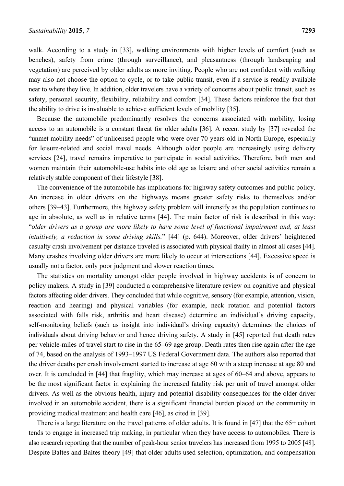walk. According to a study in [33], walking environments with higher levels of comfort (such as benches), safety from crime (through surveillance), and pleasantness (through landscaping and vegetation) are perceived by older adults as more inviting. People who are not confident with walking may also not choose the option to cycle, or to take public transit, even if a service is readily available near to where they live. In addition, older travelers have a variety of concerns about public transit, such as safety, personal security, flexibility, reliability and comfort [34]. These factors reinforce the fact that the ability to drive is invaluable to achieve sufficient levels of mobility [35].

Because the automobile predominantly resolves the concerns associated with mobility, losing access to an automobile is a constant threat for older adults [36]. A recent study by [37] revealed the "unmet mobility needs" of unlicensed people who were over 70 years old in North Europe, especially for leisure-related and social travel needs. Although older people are increasingly using delivery services [24], travel remains imperative to participate in social activities. Therefore, both men and women maintain their automobile-use habits into old age as leisure and other social activities remain a relatively stable component of their lifestyle [38].

The convenience of the automobile has implications for highway safety outcomes and public policy. An increase in older drivers on the highways means greater safety risks to themselves and/or others [39–43]. Furthermore, this highway safety problem will intensify as the population continues to age in absolute, as well as in relative terms [44]. The main factor of risk is described in this way: "*older drivers as a group are more likely to have some level of functional impairment and, at least intuitively, a reduction in some driving skills.*" [44] (p. 644). Moreover, older drivers' heightened casualty crash involvement per distance traveled is associated with physical frailty in almost all cases [44]. Many crashes involving older drivers are more likely to occur at intersections [44]. Excessive speed is usually not a factor, only poor judgment and slower reaction times.

The statistics on mortality amongst older people involved in highway accidents is of concern to policy makers. A study in [39] conducted a comprehensive literature review on cognitive and physical factors affecting older drivers. They concluded that while cognitive, sensory (for example, attention, vision, reaction and hearing) and physical variables (for example, neck rotation and potential factors associated with falls risk, arthritis and heart disease) determine an individual's driving capacity, self-monitoring beliefs (such as insight into individual's driving capacity) determines the choices of individuals about driving behavior and hence driving safety. A study in [45] reported that death rates per vehicle-miles of travel start to rise in the 65–69 age group. Death rates then rise again after the age of 74, based on the analysis of 1993–1997 US Federal Government data. The authors also reported that the driver deaths per crash involvement started to increase at age 60 with a steep increase at age 80 and over. It is concluded in [44] that fragility, which may increase at ages of 60–64 and above, appears to be the most significant factor in explaining the increased fatality risk per unit of travel amongst older drivers. As well as the obvious health, injury and potential disability consequences for the older driver involved in an automobile accident, there is a significant financial burden placed on the community in providing medical treatment and health care [46], as cited in [39].

There is a large literature on the travel patterns of older adults. It is found in [47] that the 65+ cohort tends to engage in increased trip making, in particular when they have access to automobiles. There is also research reporting that the number of peak-hour senior travelers has increased from 1995 to 2005 [48]. Despite Baltes and Baltes theory [49] that older adults used selection, optimization, and compensation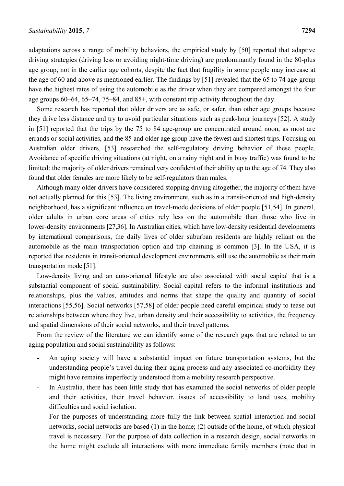adaptations across a range of mobility behaviors, the empirical study by [50] reported that adaptive driving strategies (driving less or avoiding night-time driving) are predominantly found in the 80-plus age group, not in the earlier age cohorts, despite the fact that fragility in some people may increase at the age of 60 and above as mentioned earlier. The findings by [51] revealed that the 65 to 74 age-group have the highest rates of using the automobile as the driver when they are compared amongst the four age groups 60–64, 65–74, 75–84, and 85+, with constant trip activity throughout the day.

Some research has reported that older drivers are as safe, or safer, than other age groups because they drive less distance and try to avoid particular situations such as peak-hour journeys [52]. A study in [51] reported that the trips by the 75 to 84 age-group are concentrated around noon, as most are errands or social activities, and the 85 and older age group have the fewest and shortest trips. Focusing on Australian older drivers, [53] researched the self-regulatory driving behavior of these people. Avoidance of specific driving situations (at night, on a rainy night and in busy traffic) was found to be limited: the majority of older drivers remained very confident of their ability up to the age of 74. They also found that older females are more likely to be self-regulators than males.

Although many older drivers have considered stopping driving altogether, the majority of them have not actually planned for this [53]. The living environment, such as in a transit-oriented and high-density neighborhood, has a significant influence on travel-mode decisions of older people [51,54]. In general, older adults in urban core areas of cities rely less on the automobile than those who live in lower-density environments [27,36]. In Australian cities, which have low-density residential developments by international comparisons, the daily lives of older suburban residents are highly reliant on the automobile as the main transportation option and trip chaining is common [3]. In the USA, it is reported that residents in transit-oriented development environments still use the automobile as their main transportation mode [51].

Low-density living and an auto-oriented lifestyle are also associated with social capital that is a substantial component of social sustainability. Social capital refers to the informal institutions and relationships, plus the values, attitudes and norms that shape the quality and quantity of social interactions [55,56]. Social networks [57,58] of older people need careful empirical study to tease out relationships between where they live, urban density and their accessibility to activities, the frequency and spatial dimensions of their social networks, and their travel patterns.

From the review of the literature we can identify some of the research gaps that are related to an aging population and social sustainability as follows:

- An aging society will have a substantial impact on future transportation systems, but the understanding people's travel during their aging process and any associated co-morbidity they might have remains imperfectly understood from a mobility research perspective.
- In Australia, there has been little study that has examined the social networks of older people and their activities, their travel behavior, issues of accessibility to land uses, mobility difficulties and social isolation.
- For the purposes of understanding more fully the link between spatial interaction and social networks, social networks are based (1) in the home; (2) outside of the home, of which physical travel is necessary. For the purpose of data collection in a research design, social networks in the home might exclude all interactions with more immediate family members (note that in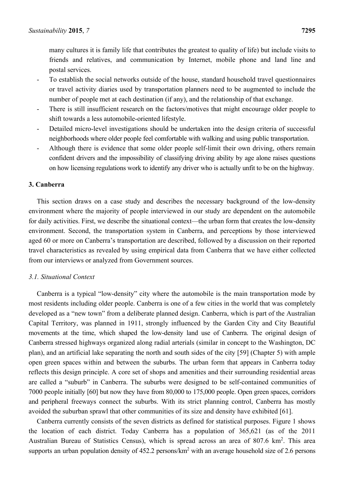many cultures it is family life that contributes the greatest to quality of life) but include visits to friends and relatives, and communication by Internet, mobile phone and land line and postal services.

- To establish the social networks outside of the house, standard household travel questionnaires or travel activity diaries used by transportation planners need to be augmented to include the number of people met at each destination (if any), and the relationship of that exchange.
- There is still insufficient research on the factors/motives that might encourage older people to shift towards a less automobile-oriented lifestyle.
- Detailed micro-level investigations should be undertaken into the design criteria of successful neighborhoods where older people feel comfortable with walking and using public transportation.
- Although there is evidence that some older people self-limit their own driving, others remain confident drivers and the impossibility of classifying driving ability by age alone raises questions on how licensing regulations work to identify any driver who is actually unfit to be on the highway.

#### **3. Canberra**

This section draws on a case study and describes the necessary background of the low-density environment where the majority of people interviewed in our study are dependent on the automobile for daily activities. First, we describe the situational context—the urban form that creates the low-density environment. Second, the transportation system in Canberra, and perceptions by those interviewed aged 60 or more on Canberra's transportation are described, followed by a discussion on their reported travel characteristics as revealed by using empirical data from Canberra that we have either collected from our interviews or analyzed from Government sources.

#### *3.1. Situational Context*

Canberra is a typical "low-density" city where the automobile is the main transportation mode by most residents including older people. Canberra is one of a few cities in the world that was completely developed as a "new town" from a deliberate planned design. Canberra, which is part of the Australian Capital Territory, was planned in 1911, strongly influenced by the Garden City and City Beautiful movements at the time, which shaped the low-density land use of Canberra. The original design of Canberra stressed highways organized along radial arterials (similar in concept to the Washington, DC plan), and an artificial lake separating the north and south sides of the city [59] (Chapter 5) with ample open green spaces within and between the suburbs. The urban form that appears in Canberra today reflects this design principle. A core set of shops and amenities and their surrounding residential areas are called a "suburb" in Canberra. The suburbs were designed to be self-contained communities of 7000 people initially [60] but now they have from 80,000 to 175,000 people. Open green spaces, corridors and peripheral freeways connect the suburbs. With its strict planning control, Canberra has mostly avoided the suburban sprawl that other communities of its size and density have exhibited [61].

Canberra currently consists of the seven districts as defined for statistical purposes. Figure 1 shows the location of each district. Today Canberra has a population of 365,621 (as of the 2011 Australian Bureau of Statistics Census), which is spread across an area of 807.6 km<sup>2</sup>. This area supports an urban population density of  $452.2$  persons/km<sup>2</sup> with an average household size of 2.6 persons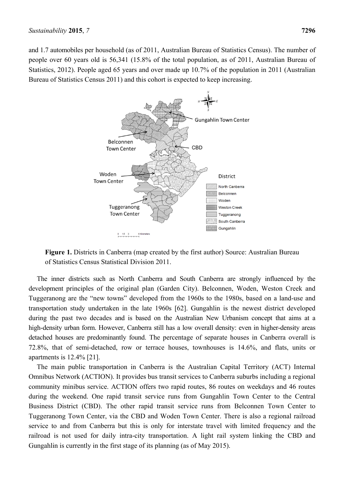and 1.7 automobiles per household (as of 2011, Australian Bureau of Statistics Census). The number of people over 60 years old is 56,341 (15.8% of the total population, as of 2011, Australian Bureau of Statistics, 2012). People aged 65 years and over made up 10.7% of the population in 2011 (Australian Bureau of Statistics Census 2011) and this cohort is expected to keep increasing.



**Figure 1.** Districts in Canberra (map created by the first author) Source: Australian Bureau of Statistics Census Statistical Division 2011.

The inner districts such as North Canberra and South Canberra are strongly influenced by the development principles of the original plan (Garden City). Belconnen, Woden, Weston Creek and Tuggeranong are the "new towns" developed from the 1960s to the 1980s, based on a land-use and transportation study undertaken in the late 1960s [62]. Gungahlin is the newest district developed during the past two decades and is based on the Australian New Urbanism concept that aims at a high-density urban form. However, Canberra still has a low overall density: even in higher-density areas detached houses are predominantly found. The percentage of separate houses in Canberra overall is 72.8%, that of semi-detached, row or terrace houses, townhouses is 14.6%, and flats, units or apartments is 12.4% [21].

The main public transportation in Canberra is the Australian Capital Territory (ACT) Internal Omnibus Network (ACTION). It provides bus transit services to Canberra suburbs including a regional community minibus service. ACTION offers two rapid routes, 86 routes on weekdays and 46 routes during the weekend. One rapid transit service runs from Gungahlin Town Center to the Central Business District (CBD). The other rapid transit service runs from Belconnen Town Center to Tuggeranong Town Center, via the CBD and Woden Town Center. There is also a regional railroad service to and from Canberra but this is only for interstate travel with limited frequency and the railroad is not used for daily intra-city transportation. A light rail system linking the CBD and Gungahlin is currently in the first stage of its planning (as of May 2015).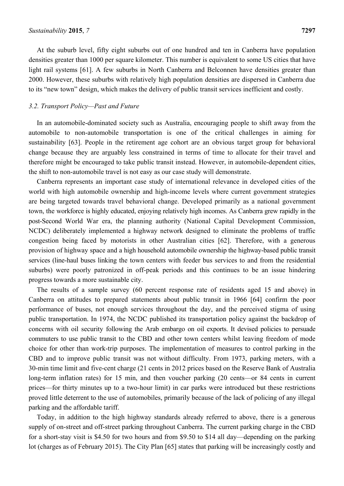At the suburb level, fifty eight suburbs out of one hundred and ten in Canberra have population densities greater than 1000 per square kilometer. This number is equivalent to some US cities that have light rail systems [61]. A few suburbs in North Canberra and Belconnen have densities greater than 2000. However, these suburbs with relatively high population densities are dispersed in Canberra due to its "new town" design, which makes the delivery of public transit services inefficient and costly.

## *3.2. Transport Policy—Past and Future*

In an automobile-dominated society such as Australia, encouraging people to shift away from the automobile to non-automobile transportation is one of the critical challenges in aiming for sustainability [63]. People in the retirement age cohort are an obvious target group for behavioral change because they are arguably less constrained in terms of time to allocate for their travel and therefore might be encouraged to take public transit instead. However, in automobile-dependent cities, the shift to non-automobile travel is not easy as our case study will demonstrate.

Canberra represents an important case study of international relevance in developed cities of the world with high automobile ownership and high-income levels where current government strategies are being targeted towards travel behavioral change. Developed primarily as a national government town, the workforce is highly educated, enjoying relatively high incomes. As Canberra grew rapidly in the post-Second World War era, the planning authority (National Capital Development Commission, NCDC) deliberately implemented a highway network designed to eliminate the problems of traffic congestion being faced by motorists in other Australian cities [62]. Therefore, with a generous provision of highway space and a high household automobile ownership the highway-based public transit services (line-haul buses linking the town centers with feeder bus services to and from the residential suburbs) were poorly patronized in off-peak periods and this continues to be an issue hindering progress towards a more sustainable city.

The results of a sample survey (60 percent response rate of residents aged 15 and above) in Canberra on attitudes to prepared statements about public transit in 1966 [64] confirm the poor performance of buses, not enough services throughout the day, and the perceived stigma of using public transportation. In 1974, the NCDC published its transportation policy against the backdrop of concerns with oil security following the Arab embargo on oil exports. It devised policies to persuade commuters to use public transit to the CBD and other town centers whilst leaving freedom of mode choice for other than work-trip purposes. The implementation of measures to control parking in the CBD and to improve public transit was not without difficulty. From 1973, parking meters, with a 30-min time limit and five-cent charge (21 cents in 2012 prices based on the Reserve Bank of Australia long-term inflation rates) for 15 min, and then voucher parking (20 cents—or 84 cents in current prices—for thirty minutes up to a two-hour limit) in car parks were introduced but these restrictions proved little deterrent to the use of automobiles, primarily because of the lack of policing of any illegal parking and the affordable tariff.

Today, in addition to the high highway standards already referred to above, there is a generous supply of on-street and off-street parking throughout Canberra. The current parking charge in the CBD for a short-stay visit is \$4.50 for two hours and from \$9.50 to \$14 all day—depending on the parking lot (charges as of February 2015). The City Plan [65] states that parking will be increasingly costly and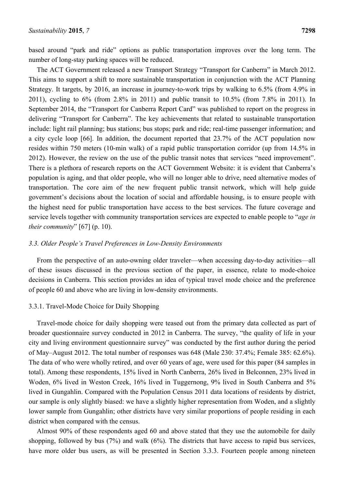The ACT Government released a new Transport Strategy "Transport for Canberra" in March 2012. This aims to support a shift to more sustainable transportation in conjunction with the ACT Planning Strategy. It targets, by 2016, an increase in journey-to-work trips by walking to 6.5% (from 4.9% in 2011), cycling to 6% (from 2.8% in 2011) and public transit to 10.5% (from 7.8% in 2011). In September 2014, the "Transport for Canberra Report Card" was published to report on the progress in delivering "Transport for Canberra". The key achievements that related to sustainable transportation include: light rail planning; bus stations; bus stops; park and ride; real-time passenger information; and a city cycle loop [66]. In addition, the document reported that 23.7% of the ACT population now resides within 750 meters (10-min walk) of a rapid public transportation corridor (up from 14.5% in 2012). However, the review on the use of the public transit notes that services "need improvement". There is a plethora of research reports on the ACT Government Website: it is evident that Canberra's population is aging, and that older people, who will no longer able to drive, need alternative modes of transportation. The core aim of the new frequent public transit network, which will help guide government's decisions about the location of social and affordable housing, is to ensure people with the highest need for public transportation have access to the best services. The future coverage and service levels together with community transportation services are expected to enable people to "*age in their community*" [67] (p. 10).

## *3.3. Older People's Travel Preferences in Low-Density Environments*

From the perspective of an auto-owning older traveler—when accessing day-to-day activities—all of these issues discussed in the previous section of the paper, in essence, relate to mode-choice decisions in Canberra. This section provides an idea of typical travel mode choice and the preference of people 60 and above who are living in low-density environments.

## 3.3.1. Travel-Mode Choice for Daily Shopping

Travel-mode choice for daily shopping were teased out from the primary data collected as part of broader questionnaire survey conducted in 2012 in Canberra. The survey, "the quality of life in your city and living environment questionnaire survey" was conducted by the first author during the period of May–August 2012. The total number of responses was 648 (Male 230: 37.4%; Female 385: 62.6%). The data of who were wholly retired, and over 60 years of age, were used for this paper (84 samples in total). Among these respondents, 15% lived in North Canberra, 26% lived in Belconnen, 23% lived in Woden, 6% lived in Weston Creek, 16% lived in Tuggernong, 9% lived in South Canberra and 5% lived in Gungahlin. Compared with the Population Census 2011 data locations of residents by district, our sample is only slightly biased: we have a slightly higher representation from Woden, and a slightly lower sample from Gungahlin; other districts have very similar proportions of people residing in each district when compared with the census.

Almost 90% of these respondents aged 60 and above stated that they use the automobile for daily shopping, followed by bus (7%) and walk (6%). The districts that have access to rapid bus services, have more older bus users, as will be presented in Section 3.3.3. Fourteen people among nineteen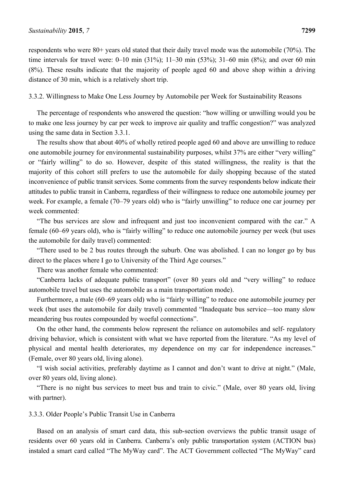respondents who were 80+ years old stated that their daily travel mode was the automobile (70%). The time intervals for travel were: 0–10 min (31%); 11–30 min (53%); 31–60 min (8%); and over 60 min (8%). These results indicate that the majority of people aged 60 and above shop within a driving distance of 30 min, which is a relatively short trip.

3.3.2. Willingness to Make One Less Journey by Automobile per Week for Sustainability Reasons

The percentage of respondents who answered the question: "how willing or unwilling would you be to make one less journey by car per week to improve air quality and traffic congestion?" was analyzed using the same data in Section 3.3.1.

The results show that about 40% of wholly retired people aged 60 and above are unwilling to reduce one automobile journey for environmental sustainability purposes, whilst 37% are either "very willing" or "fairly willing" to do so. However, despite of this stated willingness, the reality is that the majority of this cohort still prefers to use the automobile for daily shopping because of the stated inconvenience of public transit services. Some comments from the survey respondents below indicate their attitudes to public transit in Canberra, regardless of their willingness to reduce one automobile journey per week. For example, a female (70–79 years old) who is "fairly unwilling" to reduce one car journey per week commented:

"The bus services are slow and infrequent and just too inconvenient compared with the car." A female (60–69 years old), who is "fairly willing" to reduce one automobile journey per week (but uses the automobile for daily travel) commented:

"There used to be 2 bus routes through the suburb. One was abolished. I can no longer go by bus direct to the places where I go to University of the Third Age courses."

There was another female who commented:

"Canberra lacks of adequate public transport" (over 80 years old and "very willing" to reduce automobile travel but uses the automobile as a main transportation mode).

Furthermore, a male (60–69 years old) who is "fairly willing" to reduce one automobile journey per week (but uses the automobile for daily travel) commented "Inadequate bus service—too many slow meandering bus routes compounded by woeful connections".

On the other hand, the comments below represent the reliance on automobiles and self- regulatory driving behavior, which is consistent with what we have reported from the literature. "As my level of physical and mental health deteriorates, my dependence on my car for independence increases." (Female, over 80 years old, living alone).

"I wish social activities, preferably daytime as I cannot and don't want to drive at night." (Male, over 80 years old, living alone).

"There is no night bus services to meet bus and train to civic." (Male, over 80 years old, living with partner).

#### 3.3.3. Older People's Public Transit Use in Canberra

Based on an analysis of smart card data, this sub-section overviews the public transit usage of residents over 60 years old in Canberra. Canberra's only public transportation system (ACTION bus) instaled a smart card called "The MyWay card". The ACT Government collected "The MyWay" card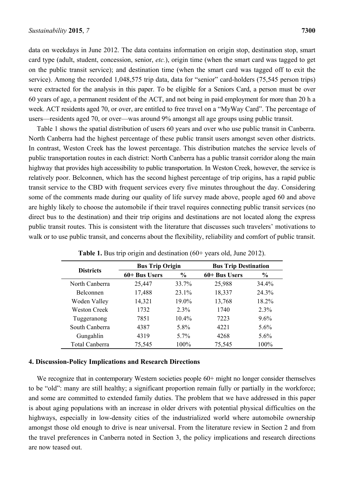data on weekdays in June 2012. The data contains information on origin stop, destination stop, smart card type (adult, student, concession, senior, *etc.*), origin time (when the smart card was tagged to get on the public transit service); and destination time (when the smart card was tagged off to exit the service). Among the recorded 1,048,575 trip data, data for "senior" card-holders (75,545 person trips) were extracted for the analysis in this paper. To be eligible for a Seniors Card, a person must be over 60 years of age, a permanent resident of the ACT, and not being in paid employment for more than 20 h a week. ACT residents aged 70, or over, are entitled to free travel on a "MyWay Card". The percentage of users—residents aged 70, or over—was around 9% amongst all age groups using public transit.

Table 1 shows the spatial distribution of users 60 years and over who use public transit in Canberra. North Canberra had the highest percentage of these public transit users amongst seven other districts. In contrast, Weston Creek has the lowest percentage. This distribution matches the service levels of public transportation routes in each district: North Canberra has a public transit corridor along the main highway that provides high accessibility to public transportation. In Weston Creek, however, the service is relatively poor. Belconnen, which has the second highest percentage of trip origins, has a rapid public transit service to the CBD with frequent services every five minutes throughout the day. Considering some of the comments made during our quality of life survey made above, people aged 60 and above are highly likely to choose the automobile if their travel requires connecting public transit services (no direct bus to the destination) and their trip origins and destinations are not located along the express public transit routes. This is consistent with the literature that discusses such travelers' motivations to walk or to use public transit, and concerns about the flexibility, reliability and comfort of public transit.

| <b>Districts</b>      | <b>Bus Trip Origin</b> |               | <b>Bus Trip Destination</b> |               |
|-----------------------|------------------------|---------------|-----------------------------|---------------|
|                       | 60+ Bus Users          | $\frac{0}{0}$ | 60+ Bus Users               | $\frac{6}{6}$ |
| North Canberra        | 25,447                 | 33.7%         | 25,988                      | $34.4\%$      |
| Belconnen             | 17,488                 | 23.1%         | 18,337                      | 24.3%         |
| Woden Valley          | 14,321                 | 19.0%         | 13,768                      | 18.2%         |
| Weston Creek          | 1732                   | $2.3\%$       | 1740                        | 2.3%          |
| Tuggeranong           | 7851                   | $10.4\%$      | 7223                        | $9.6\%$       |
| South Canberra        | 4387                   | 5.8%          | 4221                        | $5.6\%$       |
| Gungahlin             | 4319                   | 5.7%          | 4268                        | 5.6%          |
| <b>Total Canberra</b> | 75,545                 | $100\%$       | 75,545                      | 100%          |

## **4. Discussion-Policy Implications and Research Directions**

We recognize that in contemporary Western societies people 60+ might no longer consider themselves to be "old": many are still healthy; a significant proportion remain fully or partially in the workforce; and some are committed to extended family duties. The problem that we have addressed in this paper is about aging populations with an increase in older drivers with potential physical difficulties on the highways, especially in low-density cities of the industrialized world where automobile ownership amongst those old enough to drive is near universal. From the literature review in Section 2 and from the travel preferences in Canberra noted in Section 3, the policy implications and research directions are now teased out.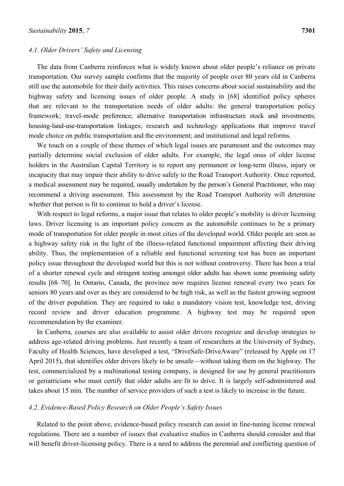#### *4.1. Older Drivers' Safety and Licensing*

The data from Canberra reinforces what is widely known about older people's reliance on private transportation. Our survey sample confirms that the majority of people over 80 years old in Canberra still use the automobile for their daily activities. This raises concerns about social sustainability and the highway safety and licensing issues of older people. A study in [68] identified policy spheres that are relevant to the transportation needs of older adults: the general transportation policy framework; travel-mode preference; alternative transportation infrastructure stock and investments; housing-land-use-transportation linkages; research and technology applications that improve travel mode choice on public transportation and the environment; and institutional and legal reforms.

We touch on a couple of these themes of which legal issues are paramount and the outcomes may partially determine social exclusion of older adults. For example, the legal onus of older license holders in the Australian Capital Territory is to report any permanent or long-term illness, injury or incapacity that may impair their ability to drive safely to the Road Transport Authority. Once reported, a medical assessment may be required, usually undertaken by the person's General Practitioner, who may recommend a driving assessment. This assessment by the Road Transport Authority will determine whether that person is fit to continue to hold a driver's license.

With respect to legal reforms, a major issue that relates to older people's mobility is driver licensing laws. Driver licensing is an important policy concern as the automobile continues to be a primary mode of transportation for older people in most cities of the developed world. Older people are seen as a highway safety risk in the light of the illness-related functional impairment affecting their driving ability. Thus, the implementation of a reliable and functional screening test has been an important policy issue throughout the developed world but this is not without controversy. There has been a trial of a shorter renewal cycle and stringent testing amongst older adults has shown some promising safety results [68–70]. In Ontario, Canada, the province now requires license renewal every two years for seniors 80 years and over as they are considered to be high risk, as well as the fastest growing segment of the driver population. They are required to take a mandatory vision test, knowledge test, driving record review and driver education programme. A highway test may be required upon recommendation by the examiner.

In Canberra, courses are also available to assist older drivers recognize and develop strategies to address age-related driving problems. Just recently a team of researchers at the University of Sydney, Faculty of Health Sciences, have developed a test, "DriveSafe-DriveAware" (released by Apple on 17 April 2015), that identifies older drivers likely to be unsafe—without taking them on the highway. The test, commercialized by a multinational testing company, is designed for use by general practitioners or geriatricians who must certify that older adults are fit to drive. It is largely self-administered and takes about 15 min. The number of service providers of such a test is likely to increase in the future.

# *4.2. Evidence-Based Policy Research on Older People's Safety Issues*

Related to the point above, evidence-based policy research can assist in fine-tuning license renewal regulations. There are a number of issues that evaluative studies in Canberra should consider and that will benefit driver-licensing policy. There is a need to address the perennial and conflicting question of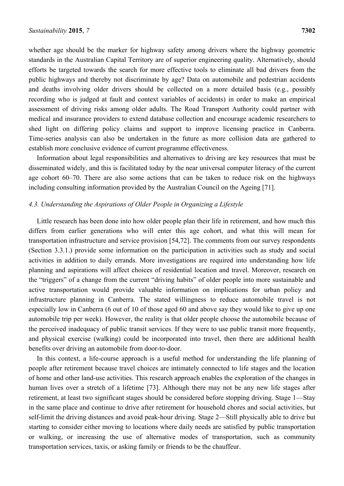whether age should be the marker for highway safety among drivers where the highway geometric standards in the Australian Capital Territory are of superior engineering quality. Alternatively, should efforts be targeted towards the search for more effective tools to eliminate all bad drivers from the public highways and thereby not discriminate by age? Data on automobile and pedestrian accidents and deaths involving older drivers should be collected on a more detailed basis (e.g., possibly recording who is judged at fault and context variables of accidents) in order to make an empirical assessment of driving risks among older adults. The Road Transport Authority could partner with medical and insurance providers to extend database collection and encourage academic researchers to shed light on differing policy claims and support to improve licensing practice in Canberra. Time-series analysis can also be undertaken in the future as more collision data are gathered to establish more conclusive evidence of current programme effectiveness.

Information about legal responsibilities and alternatives to driving are key resources that must be disseminated widely, and this is facilitated today by the near universal computer literacy of the current age cohort 60–70. There are also some actions that can be taken to reduce risk on the highways including consulting information provided by the Australian Council on the Ageing [71].

## *4.3. Understanding the Aspirations of Older People in Organizing a Lifestyle*

Little research has been done into how older people plan their life in retirement, and how much this differs from earlier generations who will enter this age cohort, and what this will mean for transportation infrastructure and service provision [54,72]. The comments from our survey respondents (Section 3.3.1.) provide some information on the participation in activities such as study and social activities in addition to daily errands. More investigations are required into understanding how life planning and aspirations will affect choices of residential location and travel. Moreover, research on the "triggers" of a change from the current "driving habits" of older people into more sustainable and active transportation would provide valuable information on implications for urban policy and infrastructure planning in Canberra. The stated willingness to reduce automobile travel is not especially low in Canberra (6 out of 10 of those aged 60 and above say they would like to give up one automobile trip per week). However, the reality is that older people choose the automobile because of the perceived inadequacy of public transit services. If they were to use public transit more frequently, and physical exercise (walking) could be incorporated into travel, then there are additional health benefits over driving an automobile from door-to-door.

In this context, a life-course approach is a useful method for understanding the life planning of people after retirement because travel choices are intimately connected to life stages and the location of home and other land-use activities. This research approach enables the exploration of the changes in human lives over a stretch of a lifetime [73]. Although there may not be any new life stages after retirement, at least two significant stages should be considered before stopping driving. Stage 1—Stay in the same place and continue to drive after retirement for household chores and social activities, but self-limit the driving distances and avoid peak-hour driving. Stage 2—Still physically able to drive but starting to consider either moving to locations where daily needs are satisfied by public transportation or walking, or increasing the use of alternative modes of transportation, such as community transportation services, taxis, or asking family or friends to be the chauffeur.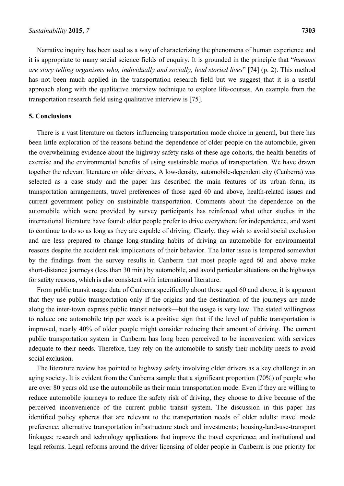Narrative inquiry has been used as a way of characterizing the phenomena of human experience and it is appropriate to many social science fields of enquiry. It is grounded in the principle that "*humans are story telling organisms who, individually and socially, lead storied lives*" [74] (p. 2). This method has not been much applied in the transportation research field but we suggest that it is a useful approach along with the qualitative interview technique to explore life-courses. An example from the transportation research field using qualitative interview is [75].

## **5. Conclusions**

There is a vast literature on factors influencing transportation mode choice in general, but there has been little exploration of the reasons behind the dependence of older people on the automobile, given the overwhelming evidence about the highway safety risks of these age cohorts, the health benefits of exercise and the environmental benefits of using sustainable modes of transportation. We have drawn together the relevant literature on older drivers. A low-density, automobile-dependent city (Canberra) was selected as a case study and the paper has described the main features of its urban form, its transportation arrangements, travel preferences of those aged 60 and above, health-related issues and current government policy on sustainable transportation. Comments about the dependence on the automobile which were provided by survey participants has reinforced what other studies in the international literature have found: older people prefer to drive everywhere for independence, and want to continue to do so as long as they are capable of driving. Clearly, they wish to avoid social exclusion and are less prepared to change long-standing habits of driving an automobile for environmental reasons despite the accident risk implications of their behavior. The latter issue is tempered somewhat by the findings from the survey results in Canberra that most people aged 60 and above make short-distance journeys (less than 30 min) by automobile, and avoid particular situations on the highways for safety reasons, which is also consistent with international literature.

From public transit usage data of Canberra specifically about those aged 60 and above, it is apparent that they use public transportation only if the origins and the destination of the journeys are made along the inter-town express public transit network—but the usage is very low. The stated willingness to reduce one automobile trip per week is a positive sign that if the level of public transportation is improved, nearly 40% of older people might consider reducing their amount of driving. The current public transportation system in Canberra has long been perceived to be inconvenient with services adequate to their needs. Therefore, they rely on the automobile to satisfy their mobility needs to avoid social exclusion.

The literature review has pointed to highway safety involving older drivers as a key challenge in an aging society. It is evident from the Canberra sample that a significant proportion (70%) of people who are over 80 years old use the automobile as their main transportation mode. Even if they are willing to reduce automobile journeys to reduce the safety risk of driving, they choose to drive because of the perceived inconvenience of the current public transit system. The discussion in this paper has identified policy spheres that are relevant to the transportation needs of older adults: travel mode preference; alternative transportation infrastructure stock and investments; housing-land-use-transport linkages; research and technology applications that improve the travel experience; and institutional and legal reforms. Legal reforms around the driver licensing of older people in Canberra is one priority for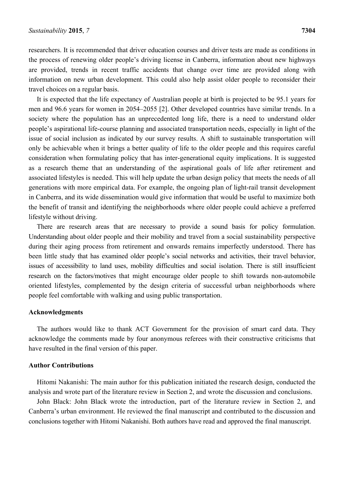researchers. It is recommended that driver education courses and driver tests are made as conditions in the process of renewing older people's driving license in Canberra, information about new highways are provided, trends in recent traffic accidents that change over time are provided along with information on new urban development. This could also help assist older people to reconsider their travel choices on a regular basis.

It is expected that the life expectancy of Australian people at birth is projected to be 95.1 years for men and 96.6 years for women in 2054–2055 [2]. Other developed countries have similar trends. In a society where the population has an unprecedented long life, there is a need to understand older people's aspirational life-course planning and associated transportation needs, especially in light of the issue of social inclusion as indicated by our survey results. A shift to sustainable transportation will only be achievable when it brings a better quality of life to the older people and this requires careful consideration when formulating policy that has inter-generational equity implications. It is suggested as a research theme that an understanding of the aspirational goals of life after retirement and associated lifestyles is needed. This will help update the urban design policy that meets the needs of all generations with more empirical data. For example, the ongoing plan of light-rail transit development in Canberra, and its wide dissemination would give information that would be useful to maximize both the benefit of transit and identifying the neighborhoods where older people could achieve a preferred lifestyle without driving.

There are research areas that are necessary to provide a sound basis for policy formulation. Understanding about older people and their mobility and travel from a social sustainability perspective during their aging process from retirement and onwards remains imperfectly understood. There has been little study that has examined older people's social networks and activities, their travel behavior, issues of accessibility to land uses, mobility difficulties and social isolation. There is still insufficient research on the factors/motives that might encourage older people to shift towards non-automobile oriented lifestyles, complemented by the design criteria of successful urban neighborhoods where people feel comfortable with walking and using public transportation.

#### **Acknowledgments**

The authors would like to thank ACT Government for the provision of smart card data. They acknowledge the comments made by four anonymous referees with their constructive criticisms that have resulted in the final version of this paper.

## **Author Contributions**

Hitomi Nakanishi: The main author for this publication initiated the research design, conducted the analysis and wrote part of the literature review in Section 2, and wrote the discussion and conclusions.

John Black: John Black wrote the introduction, part of the literature review in Section 2, and Canberra's urban environment. He reviewed the final manuscript and contributed to the discussion and conclusions together with Hitomi Nakanishi. Both authors have read and approved the final manuscript.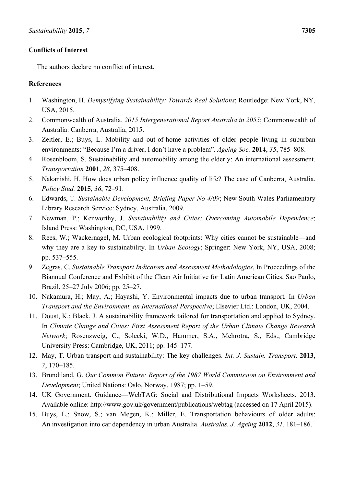# **Conflicts of Interest**

The authors declare no conflict of interest.

## **References**

- 1. Washington, H. *Demystifying Sustainability: Towards Real Solutions*; Routledge: New York, NY, USA, 2015.
- 2. Commonwealth of Australia. *2015 Intergenerational Report Australia in 2055*; Commonwealth of Australia: Canberra, Australia, 2015.
- 3. Zeitler, E.; Buys, L. Mobility and out-of-home activities of older people living in suburban environments: "Because I'm a driver, I don't have a problem". *Ageing Soc.* **2014**, *35*, 785–808.
- 4. Rosenbloom, S. Sustainability and automobility among the elderly: An international assessment. *Transportation* **2001**, *28*, 375–408.
- 5. Nakanishi, H. How does urban policy influence quality of life? The case of Canberra, Australia. *Policy Stud.* **2015**, *36*, 72–91.
- 6. Edwards, T. *Sustainable Development, Briefing Paper No 4/09*; New South Wales Parliamentary Library Research Service: Sydney, Australia, 2009.
- 7. Newman, P.; Kenworthy, J. *Sustainability and Cities: Overcoming Automobile Dependence*; Island Press: Washington, DC, USA, 1999.
- 8. Rees, W.; Wackernagel, M. Urban ecological footprints: Why cities cannot be sustainable—and why they are a key to sustainability. In *Urban Ecology*; Springer: New York, NY, USA, 2008; pp. 537–555.
- 9. Zegras, C. *Sustainable Transport Indicators and Assessment Methodologies*, In Proceedings of the Biannual Conference and Exhibit of the Clean Air Initiative for Latin American Cities, Sao Paulo, Brazil, 25–27 July 2006; pp. 25–27.
- 10. Nakamura, H.; May, A.; Hayashi, Y. Environmental impacts due to urban transport*.* In *Urban Transport and the Environment, an International Perspective*; Elsevier Ltd.: London, UK, 2004.
- 11. Doust, K.; Black, J. A sustainability framework tailored for transportation and applied to Sydney. In *Climate Change and Cities: First Assessment Report of the Urban Climate Change Research Network*; Rosenzweig, C., Solecki, W.D., Hammer, S.A., Mehrotra, S., Eds.; Cambridge University Press: Cambridge, UK, 2011; pp. 145–177.
- 12. May, T. Urban transport and sustainability: The key challenges. *Int. J. Sustain. Transport.* **2013**, *7*, 170–185.
- 13. Brundtland, G. *Our Common Future: Report of the 1987 World Commission on Environment and Development*; United Nations: Oslo, Norway, 1987; pp. 1–59.
- 14. UK Government. Guidance—WebTAG: Social and Distributional Impacts Worksheets. 2013. Available online: http://www.gov.uk/government/publications/webtag (accessed on 17 April 2015).
- 15. Buys, L.; Snow, S.; van Megen, K.; Miller, E. Transportation behaviours of older adults: An investigation into car dependency in urban Australia. *Australas. J. Ageing* **2012**, *31*, 181–186.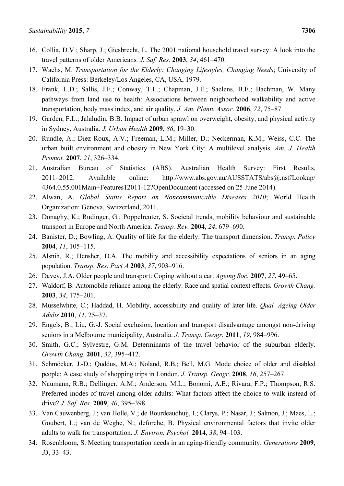- 16. Collia, D.V.; Sharp, J.; Giesbrecht, L. The 2001 national household travel survey: A look into the travel patterns of older Americans*. J. Saf. Res.* **2003**, *34*, 461–470.
- 17. Wachs, M. *Transportation for the Elderly: Changing Lifestyles, Changing Needs*; University of California Press: Berkeley/Los Angeles, CA, USA, 1979.
- 18. Frank, L.D.; Sallis, J.F.; Conway, T.L.; Chapman, J.E.; Saelens, B.E.; Bachman, W. Many pathways from land use to health: Associations between neighborhood walkability and active transportation, body mass index, and air quality. *J. Am. Plann. Assoc.* **2006**, *72*, 75–87.
- 19. Garden, F.L.; Jalaludin, B.B. Impact of urban sprawl on overweight, obesity, and physical activity in Sydney, Australia. *J. Urban Health* **2009**, *86*, 19–30.
- 20. Rundle, A.; Diez Roux, A.V.; Freeman, L.M.; Miller, D.; Neckerman, K.M.; Weiss, C.C. The urban built environment and obesity in New York City: A multilevel analysis. *Am. J. Health Promot.* **2007**, *21*, 326–334.
- 21. Australian Bureau of Statistics (ABS). Australian Health Survey: First Results, 2011–2012. Available online: http://www.abs.gov.au/AUSSTATS/abs@.nsf/Lookup/ 4364.0.55.001Main+Features12011-12?OpenDocument (accessed on 25 June 2014).
- 22. Alwan, A. *Global Status Report on Noncommunicable Diseases 2010*; World Health Organization: Geneva, Switzerland, 2011.
- 23. Donaghy, K.; Rudinger, G.; Poppelreuter, S. Societal trends, mobility behaviour and sustainable transport in Europe and North America. *Transp. Rev.* **2004**, *24*, 679–690.
- 24. Banister, D.; Bowling, A. Quality of life for the elderly: The transport dimension. *Transp. Policy* **2004**, *11*, 105–115.
- 25. Alsnih, R.; Hensher, D.A. The mobility and accessibility expectations of seniors in an aging population. *Transp. Res. Part A* **2003**, *37*, 903–916.
- 26. Davey, J.A. Older people and transport: Coping without a car. *Ageing Soc.* **2007**, *27*, 49–65.
- 27. Waldorf, B. Automobile reliance among the elderly: Race and spatial context effects. *Growth Chang.* **2003**, *34*, 175–201.
- 28. Musselwhite, C.; Haddad, H. Mobility, accessibility and quality of later life. *Qual. Ageing Older Adults* **2010**, *11*, 25–37.
- 29. Engels, B.; Liu, G.-J. Social exclusion, location and transport disadvantage amongst non-driving seniors in a Melbourne municipality, Australia. *J. Transp. Geogr.* **2011**, *19*, 984–996.
- 30. Smith, G.C.; Sylvestre, G.M. Determinants of the travel behavior of the suburban elderly. *Growth Chang.* **2001**, *32*, 395–412.
- 31. Schmöcker, J.-D.; Quddus, M.A.; Noland, R.B.; Bell, M.G. Mode choice of older and disabled people: A case study of shopping trips in London. *J. Transp. Geogr.* **2008**, *16*, 257–267.
- 32. Naumann, R.B.; Dellinger, A.M.; Anderson, M.L.; Bonomi, A.E.; Rivara, F.P.; Thompson, R.S. Preferred modes of travel among older adults: What factors affect the choice to walk instead of drive? *J. Saf. Res.* **2009**, *40*, 395–398.
- 33. Van Cauwenberg, J.; van Holle, V.; de Bourdeaudhuij, I.; Clarys, P.; Nasar, J.; Salmon, J.; Maes, L.; Goubert, L.; van de Weghe, N.; deforche, B. Physical environmental factors that invite older adults to walk for transportation. *J. Environ. Psychol.* **2014**, *38*, 94–103.
- 34. Rosenbloom, S. Meeting transportation needs in an aging-friendly community. *Generations* **2009**, *33*, 33–43.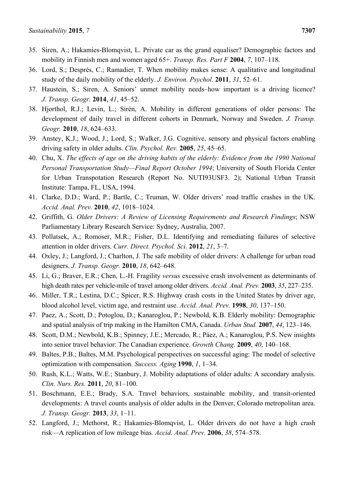- 35. Siren, A.; Hakamies-Blomqvist, L. Private car as the grand equaliser? Demographic factors and mobility in Finnish men and women aged 65+. *Transp. Res. Part F* **2004**, *7*, 107–118.
- 36. Lord, S.; Després, C.; Ramadier, T. When mobility makes sense: A qualitative and longitudinal study of the daily mobility of the elderly. *J. Environ. Psychol.* **2011**, *31*, 52–61.
- 37. Haustein, S.; Siren, A. Seniors' unmet mobility needs–how important is a driving licence? *J. Transp. Geogr.* **2014**, *41*, 45–52.
- 38. Hjorthol, R.J.; Levin, L.; Sirén, A. Mobility in different generations of older persons: The development of daily travel in different cohorts in Denmark, Norway and Sweden. *J. Transp. Geogr.* **2010**, *18*, 624–633.
- 39. Anstey, K.J.; Wood, J.; Lord, S.; Walker, J.G. Cognitive, sensory and physical factors enabling driving safety in older adults. *Clin. Psychol. Rev.* **2005**, *25*, 45–65.
- 40. Chu, X. *The effects of age on the driving habits of the elderly: Evidence from the 1990 National Personal Transportation Study—Final Report October 1994*; University of South Florida Center for Urban Transpotation Research (Report No. NUTI93USF3. 2); National Urban Transit Institute: Tampa, FL, USA, 1994.
- 41. Clarke, D.D.; Ward, P.; Bartle, C.; Truman, W. Older drivers' road traffic crashes in the UK. *Accid. Anal. Prev.* **2010**, *42*, 1018–1024.
- 42. Griffith, G. *Older Drivers: A Review of Licensing Requirements and Research Findings*; NSW Parliamentary Library Research Service: Sydney, Australia, 2007.
- 43. Pollatsek, A.; Romoser, M.R.; Fisher, D.L. Identifying and remediating failures of selective attention in older drivers. *Curr. Direct. Psychol. Sci.* **2012**, *21*, 3–7.
- 44. Oxley, J.; Langford, J.; Charlton, J. The safe mobility of older drivers: A challenge for urban road designers. *J. Transp. Geogr.* **2010**, *18*, 642–648.
- 45. Li, G.; Braver, E.R.; Chen, L.-H. Fragility *versus* excessive crash involvement as determinants of high death rates per vehicle-mile of travel among older drivers. *Accid. Anal. Prev.* **2003**, *35*, 227–235.
- 46. Miller, T.R.; Lestina, D.C.; Spicer, R.S. Highway crash costs in the United States by driver age, blood alcohol level, victim age, and restraint use. *Accid. Anal. Prev.* **1998**, *30*, 137–150.
- 47. Paez, A.; Scott, D.; Potoglou, D.; Kanaroglou, P.; Newbold, K.B. Elderly mobility: Demographic and spatial analysis of trip making in the Hamilton CMA, Canada. *Urban Stud.* **2007**, *44*, 123–146.
- 48. Scott, D.M.; Newbold, K.B.; Spinney, J.E.; Mercado, R.; Páez, A.; Kanaroglou, P.S. New insights into senior travel behavior: The Canadian experience. *Growth Chang.* **2009**, *40*, 140–168.
- 49. Baltes, P.B.; Baltes, M.M. Psychological perspectives on successful aging: The model of selective optimization with compensation. *Success. Aging* **1990**, *1*, 1–34.
- 50. Rush, K.L.; Watts, W.E.; Stanbury, J. Mobility adaptations of older adults: A secondary analysis. *Clin. Nurs. Res.* **2011**, *20*, 81–100.
- 51. Boschmann, E.E.; Brady, S.A. Travel behaviors, sustainable mobility, and transit-oriented developments: A travel counts analysis of older adults in the Denver, Colorado metropolitan area. *J. Transp. Geogr.* **2013**, *33*, 1–11.
- 52. Langford, J.; Methorst, R.; Hakamies-Blomqvist, L. Older drivers do not have a high crash risk—A replication of low mileage bias*. Accid. Anal. Prev.* **2006**, *38*, 574–578.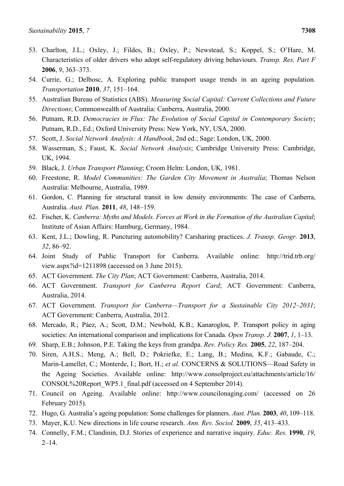- 53. Charlton, J.L.; Oxley, J.; Fildes, B.; Oxley, P.; Newstead, S.; Koppel, S.; O'Hare, M. Characteristics of older drivers who adopt self-regulatory driving behaviours. *Transp. Res. Part F*  **2006**, *9*, 363–373.
- 54. Currie, G.; Delbosc, A. Exploring public transport usage trends in an ageing population. *Transportation* **2010**, *37*, 151–164.
- 55. Australian Bureau of Statistics (ABS). *Measuring Social Capital: Current Collections and Future Directions*; Commonwealth of Australia: Canberra, Australia, 2000.
- 56. Putnam, R.D. *Democracies in Flux: The Evolution of Social Capital in Contemporary Society*; Putnam, R.D., Ed.; Oxford University Press: New York, NY, USA, 2000.
- 57. Scott, J. *Social Network Analysis: A Handbook*, 2nd ed.; Sage: London, UK, 2000.
- 58. Wasserman, S.; Faust, K. *Social Network Analysis*; Cambridge University Press: Cambridge, UK, 1994.
- 59. Black, J. *Urban Transport Planning*; Croom Helm: London, UK, 1981.
- 60. Freestone, R. *Model Communities: The Garden City Movement in Australia*; Thomas Nelson Australia: Melbourne, Australia, 1989.
- 61. Gordon, C. Planning for structural transit in low density environments: The case of Canberra, Australia. *Aust. Plan.* **2011**, *48*, 148–159.
- 62. Fischer, K. *Canberra: Myths and Models. Forces at Work in the Formation of the Australian Capital*; Institute of Asian Affairs: Hamburg, Germany, 1984.
- 63. Kent, J.L.; Dowling, R. Puncturing automobility? Carsharing practices. *J. Transp. Geogr.* **2013**, *32*, 86–92.
- 64. Joint Study of Public Transport for Canberra. Available online: http://trid.trb.org/ view.aspx?id=1211898 (accessed on 3 June 2015).
- 65. ACT Government. *The City Plan*; ACT Government: Canberra, Australia, 2014.
- 66. ACT Government. *Transport for Canberra Report Card*; ACT Government: Canberra, Australia, 2014.
- 67. ACT Government. *Transport for Canberra—Transport for a Sustainable City 2012–2031*; ACT Government: Canberra, Australia, 2012.
- 68. Mercado, R.; Páez, A.; Scott, D.M.; Newbold, K.B.; Kanaroglou, P. Transport policy in aging societies: An international comparison and implications for Canada. *Open Transp. J.* **2007**, *1*, 1–13.
- 69. Sharp, E.B.; Johnson, P.E. Taking the keys from grandpa. *Rev. Policy Res.* **2005**, *22*, 187–204.
- 70. Siren, A.H.S.; Meng, A.; Bell, D.; Pokriefke, E.; Lang, B.; Medina, K.F.; Gabaude, C.; Marin-Lamellet, C.; Monterde, I.; Bort, H.; *et al.* CONCERNS & SOLUTIONS—Road Safety in the Ageing Societies. Available online: http://www.consolproject.eu/attachments/article/16/ CONSOL%20Report\_WP5.1\_final.pdf (accessed on 4 September 2014).
- 71. Council on Ageing. Available online: http://www.councilonaging.com/ (accessed on 26 February 2015).
- 72. Hugo, G. Australia's ageing population: Some challenges for planners. *Aust. Plan.* **2003**, *40*, 109–118.
- 73. Mayer, K.U. New directions in life course research. *Ann. Rev. Sociol.* **2009**, *35*, 413–433.
- 74. Connelly, F.M.; Clandinin, D.J. Stories of experience and narrative inquiry. *Educ. Res.* **1990**, *19*,  $2 - 14$ .